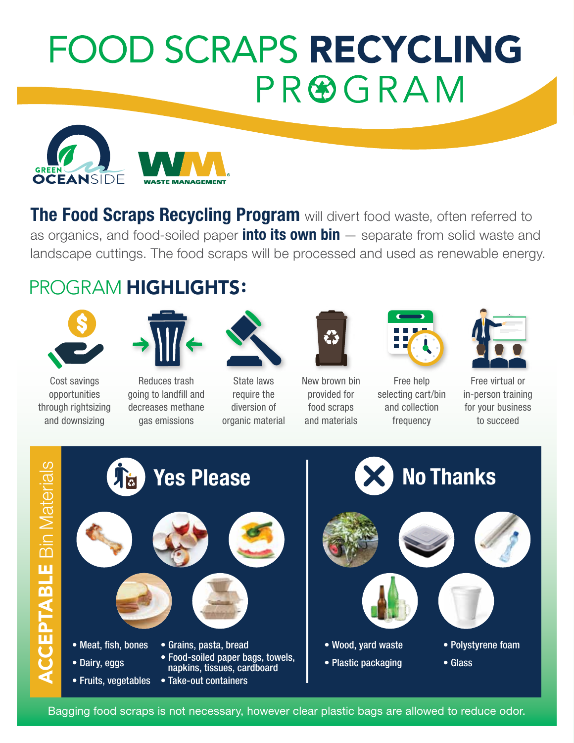# **FOOD SCRAPS RECYCLING** PROGRAM



**The Food Scraps Recycling Program** will divert food waste, often referred to as organics, and food-soiled paper into its own bin  $-$  separate from solid waste and landscape cuttings. The food scraps will be processed and used as renewable energy.

## PROGRAM HIGHLIGHTS:



Cost savings opportunities

and downsizing



Reduces trash going to landfill and decreases methane gas emissions through rightsizing



State laws require the diversion of organic material



New brown bin provided for food scraps and materials



Free help selecting cart/bin and collection frequency



Free virtual or in-person training for your business to succeed